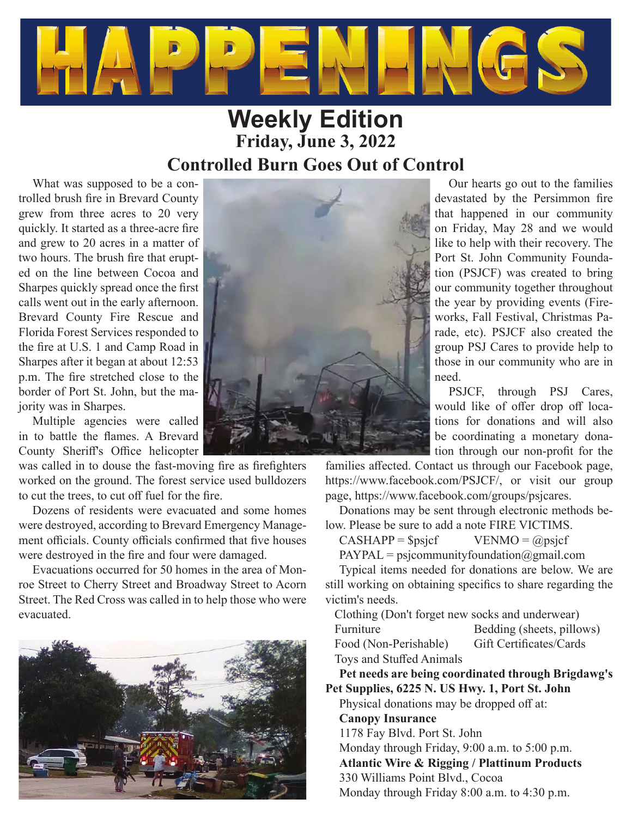

# **Weekly Edition Friday, June 3, 2022 Controlled Burn Goes Out of Control**

What was supposed to be a controlled brush fire in Brevard County grew from three acres to 20 very quickly. It started as a three-acre fire and grew to 20 acres in a matter of two hours. The brush fire that erupted on the line between Cocoa and Sharpes quickly spread once the first calls went out in the early afternoon. Brevard County Fire Rescue and Florida Forest Services responded to the fire at U.S. 1 and Camp Road in Sharpes after it began at about 12:53 p.m. The fire stretched close to the border of Port St. John, but the majority was in Sharpes.

Multiple agencies were called in to battle the flames. A Brevard County Sheriff's Office helicopter

was called in to douse the fast-moving fire as firefighters worked on the ground. The forest service used bulldozers to cut the trees, to cut off fuel for the fire.

Dozens of residents were evacuated and some homes were destroyed, according to Brevard Emergency Management officials. County officials confirmed that five houses were destroyed in the fire and four were damaged.

Evacuations occurred for 50 homes in the area of Monroe Street to Cherry Street and Broadway Street to Acorn Street. The Red Cross was called in to help those who were evacuated.





Our hearts go out to the families devastated by the Persimmon fire that happened in our community on Friday, May 28 and we would like to help with their recovery. The Port St. John Community Foundation (PSJCF) was created to bring our community together throughout the year by providing events (Fireworks, Fall Festival, Christmas Parade, etc). PSJCF also created the group PSJ Cares to provide help to those in our community who are in need.

PSJCF, through PSJ Cares, would like of offer drop off locations for donations and will also be coordinating a monetary donation through our non-profit for the

families affected. Contact us through our Facebook page, https://www.facebook.com/PSJCF/, or visit our group page, https://www.facebook.com/groups/psjcares.

Donations may be sent through electronic methods below. Please be sure to add a note FIRE VICTIMS.

 $CASHAPP = $psjcf$  VENMO = @psjcf

 $PAYPAL = psjcommunity foundation(Qgmail.com)$ 

Typical items needed for donations are below. We are still working on obtaining specifics to share regarding the victim's needs.

Clothing (Don't forget new socks and underwear)

Furniture Bedding (sheets, pillows) Food (Non-Perishable) Gift Certificates/Cards

Toys and Stuffed Animals **Pet needs are being coordinated through Brigdawg's Pet Supplies, 6225 N. US Hwy. 1, Port St. John**

Physical donations may be dropped off at: **Canopy Insurance** 1178 Fay Blvd. Port St. John Monday through Friday, 9:00 a.m. to 5:00 p.m. **Atlantic Wire & Rigging / Plattinum Products** 330 Williams Point Blvd., Cocoa Monday through Friday 8:00 a.m. to 4:30 p.m.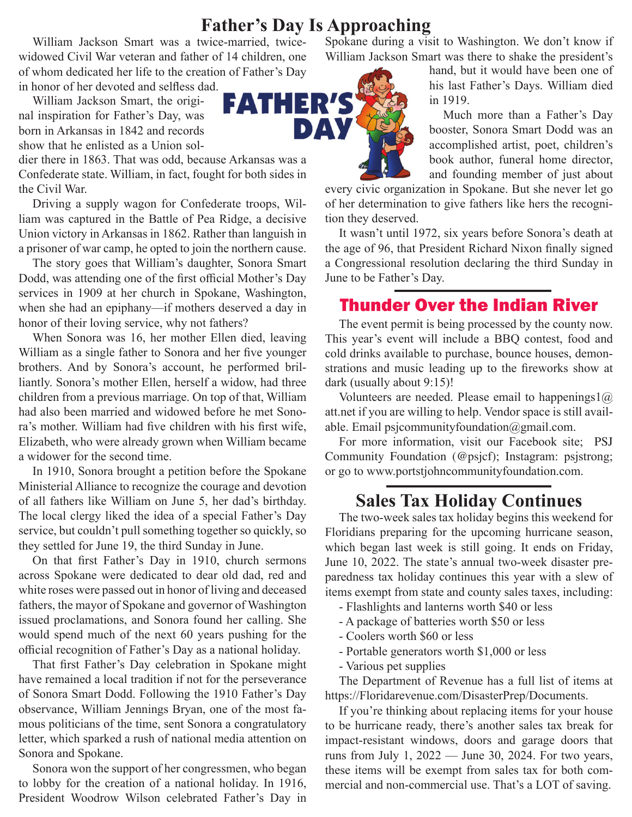## **Father's Day Is Approaching**

William Jackson Smart was a twice-married, twicewidowed Civil War veteran and father of 14 children, one of whom dedicated her life to the creation of Father's Day

in honor of her devoted and selfless dad.

William Jackson Smart, the original inspiration for Father's Day, was born in Arkansas in 1842 and records show that he enlisted as a Union sol-

dier there in 1863. That was odd, because Arkansas was a Confederate state. William, in fact, fought for both sides in the Civil War.

Driving a supply wagon for Confederate troops, William was captured in the Battle of Pea Ridge, a decisive Union victory in Arkansas in 1862. Rather than languish in a prisoner of war camp, he opted to join the northern cause.

The story goes that William's daughter, Sonora Smart Dodd, was attending one of the first official Mother's Day services in 1909 at her church in Spokane, Washington, when she had an epiphany—if mothers deserved a day in honor of their loving service, why not fathers?

When Sonora was 16, her mother Ellen died, leaving William as a single father to Sonora and her five younger brothers. And by Sonora's account, he performed brilliantly. Sonora's mother Ellen, herself a widow, had three children from a previous marriage. On top of that, William had also been married and widowed before he met Sonora's mother. William had five children with his first wife, Elizabeth, who were already grown when William became a widower for the second time.

In 1910, Sonora brought a petition before the Spokane Ministerial Alliance to recognize the courage and devotion of all fathers like William on June 5, her dad's birthday. The local clergy liked the idea of a special Father's Day service, but couldn't pull something together so quickly, so they settled for June 19, the third Sunday in June.

On that first Father's Day in 1910, church sermons across Spokane were dedicated to dear old dad, red and white roses were passed out in honor of living and deceased fathers, the mayor of Spokane and governor of Washington issued proclamations, and Sonora found her calling. She would spend much of the next 60 years pushing for the official recognition of Father's Day as a national holiday.

That first Father's Day celebration in Spokane might have remained a local tradition if not for the perseverance of Sonora Smart Dodd. Following the 1910 Father's Day observance, William Jennings Bryan, one of the most famous politicians of the time, sent Sonora a congratulatory letter, which sparked a rush of national media attention on Sonora and Spokane.

Sonora won the support of her congressmen, who began to lobby for the creation of a national holiday. In 1916, President Woodrow Wilson celebrated Father's Day in Spokane during a visit to Washington. We don't know if William Jackson Smart was there to shake the president's



hand, but it would have been one of his last Father's Days. William died in 1919.

Much more than a Father's Day booster, Sonora Smart Dodd was an accomplished artist, poet, children's book author, funeral home director, and founding member of just about

every civic organization in Spokane. But she never let go of her determination to give fathers like hers the recognition they deserved.

It wasn't until 1972, six years before Sonora's death at the age of 96, that President Richard Nixon finally signed a Congressional resolution declaring the third Sunday in June to be Father's Day.

### Thunder Over the Indian River

The event permit is being processed by the county now. This year's event will include a BBQ contest, food and cold drinks available to purchase, bounce houses, demonstrations and music leading up to the fireworks show at dark (usually about 9:15)!

Volunteers are needed. Please email to happenings1 $@$ att.net if you are willing to help. Vendor space is still available. Email psjcommunityfoundation@gmail.com.

For more information, visit our Facebook site; PSJ Community Foundation (@psjcf); Instagram: psjstrong; or go to www.portstjohncommunityfoundation.com.

## **Sales Tax Holiday Continues**

The two-week sales tax holiday begins this weekend for Floridians preparing for the upcoming hurricane season, which began last week is still going. It ends on Friday, June 10, 2022. The state's annual two-week disaster preparedness tax holiday continues this year with a slew of items exempt from state and county sales taxes, including:

- Flashlights and lanterns worth \$40 or less
- A package of batteries worth \$50 or less
- Coolers worth \$60 or less
- Portable generators worth \$1,000 or less
- Various pet supplies

The Department of Revenue has a full list of items at https://Floridarevenue.com/DisasterPrep/Documents.

If you're thinking about replacing items for your house to be hurricane ready, there's another sales tax break for impact-resistant windows, doors and garage doors that runs from July 1, 2022 — June 30, 2024. For two years, these items will be exempt from sales tax for both commercial and non-commercial use. That's a LOT of saving.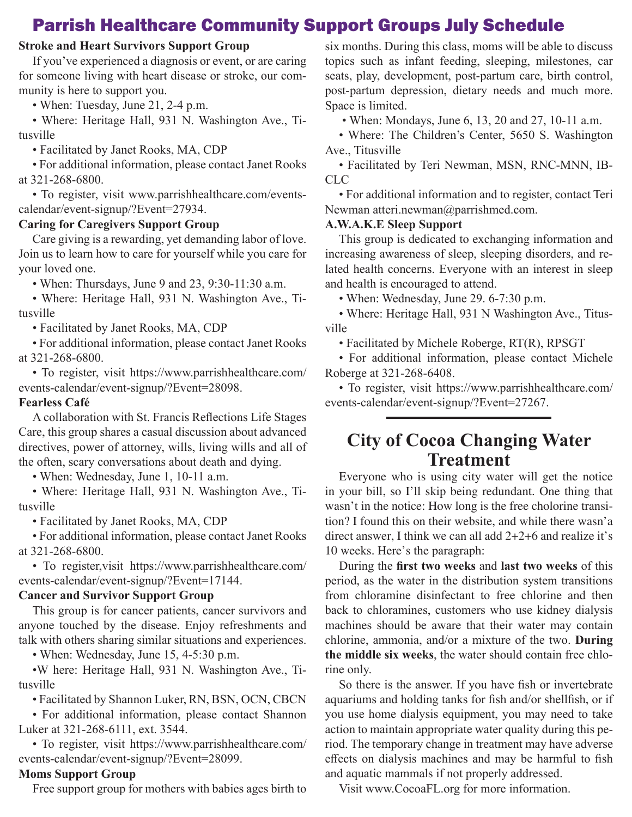## Parrish Healthcare Community Support Groups July Schedule

#### **Stroke and Heart Survivors Support Group**

If you've experienced a diagnosis or event, or are caring for someone living with heart disease or stroke, our community is here to support you.

• When: Tuesday, June 21, 2-4 p.m.

• Where: Heritage Hall, 931 N. Washington Ave., Titusville

• Facilitated by Janet Rooks, MA, CDP

• For additional information, please contact Janet Rooks at 321-268-6800.

• To register, visit www.parrishhealthcare.com/eventscalendar/event-signup/?Event=27934.

#### **Caring for Caregivers Support Group**

Care giving is a rewarding, yet demanding labor of love. Join us to learn how to care for yourself while you care for your loved one.

• When: Thursdays, June 9 and 23, 9:30-11:30 a.m.

• Where: Heritage Hall, 931 N. Washington Ave., Titusville

• Facilitated by Janet Rooks, MA, CDP

• For additional information, please contact Janet Rooks at 321-268-6800.

• To register, visit https://www.parrishhealthcare.com/ events-calendar/event-signup/?Event=28098.

#### **Fearless Café**

A collaboration with St. Francis Reflections Life Stages Care, this group shares a casual discussion about advanced directives, power of attorney, wills, living wills and all of the often, scary conversations about death and dying.

• When: Wednesday, June 1, 10-11 a.m.

• Where: Heritage Hall, 931 N. Washington Ave., Titusville

• Facilitated by Janet Rooks, MA, CDP

• For additional information, please contact Janet Rooks at 321-268-6800.

• To register,visit https://www.parrishhealthcare.com/ events-calendar/event-signup/?Event=17144.

#### **Cancer and Survivor Support Group**

This group is for cancer patients, cancer survivors and anyone touched by the disease. Enjoy refreshments and talk with others sharing similar situations and experiences.

• When: Wednesday, June 15, 4-5:30 p.m.

•W here: Heritage Hall, 931 N. Washington Ave., Titusville

• Facilitated by Shannon Luker, RN, BSN, OCN, CBCN

• For additional information, please contact Shannon Luker at 321-268-6111, ext. 3544.

• To register, visit https://www.parrishhealthcare.com/ events-calendar/event-signup/?Event=28099.

#### **Moms Support Group**

Free support group for mothers with babies ages birth to

six months. During this class, moms will be able to discuss topics such as infant feeding, sleeping, milestones, car seats, play, development, post-partum care, birth control, post-partum depression, dietary needs and much more. Space is limited.

• When: Mondays, June 6, 13, 20 and 27, 10-11 a.m.

• Where: The Children's Center, 5650 S. Washington Ave., Titusville

• Facilitated by Teri Newman, MSN, RNC-MNN, IB-CLC

• For additional information and to register, contact Teri Newman atteri.newman@parrishmed.com.

#### **A.W.A.K.E Sleep Support**

This group is dedicated to exchanging information and increasing awareness of sleep, sleeping disorders, and related health concerns. Everyone with an interest in sleep and health is encouraged to attend.

• When: Wednesday, June 29. 6-7:30 p.m.

• Where: Heritage Hall, 931 N Washington Ave., Titusville

• Facilitated by Michele Roberge, RT(R), RPSGT

• For additional information, please contact Michele Roberge at 321-268-6408.

• To register, visit https://www.parrishhealthcare.com/ events-calendar/event-signup/?Event=27267.

### **City of Cocoa Changing Water Treatment**

Everyone who is using city water will get the notice in your bill, so I'll skip being redundant. One thing that wasn't in the notice: How long is the free cholorine transition? I found this on their website, and while there wasn'a direct answer, I think we can all add 2+2+6 and realize it's 10 weeks. Here's the paragraph:

During the first two weeks and last two weeks of this period, as the water in the distribution system transitions from chloramine disinfectant to free chlorine and then back to chloramines, customers who use kidney dialysis machines should be aware that their water may contain chlorine, ammonia, and/or a mixture of the two. **During the middle six weeks**, the water should contain free chlorine only.

So there is the answer. If you have fish or invertebrate aquariums and holding tanks for fish and/or shellfish, or if you use home dialysis equipment, you may need to take action to maintain appropriate water quality during this period. The temporary change in treatment may have adverse effects on dialysis machines and may be harmful to fish and aquatic mammals if not properly addressed.

Visit www.CocoaFL.org for more information.